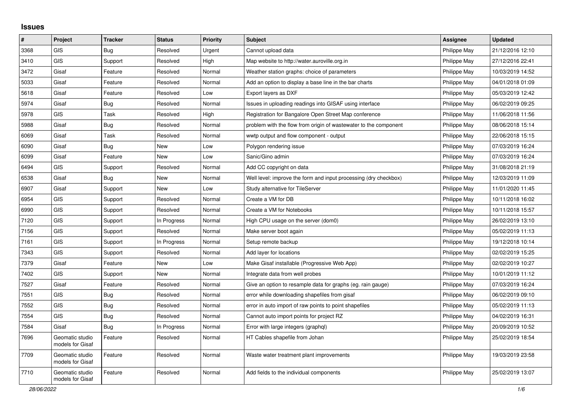## **Issues**

| $\sharp$ | Project                             | <b>Tracker</b> | <b>Status</b> | <b>Priority</b> | <b>Subject</b>                                                   | <b>Assignee</b> | <b>Updated</b>   |
|----------|-------------------------------------|----------------|---------------|-----------------|------------------------------------------------------------------|-----------------|------------------|
| 3368     | <b>GIS</b>                          | Bug            | Resolved      | Urgent          | Cannot upload data                                               | Philippe May    | 21/12/2016 12:10 |
| 3410     | <b>GIS</b>                          | Support        | Resolved      | High            | Map website to http://water.auroville.org.in                     | Philippe May    | 27/12/2016 22:41 |
| 3472     | Gisaf                               | Feature        | Resolved      | Normal          | Weather station graphs: choice of parameters                     | Philippe May    | 10/03/2019 14:52 |
| 5033     | Gisaf                               | Feature        | Resolved      | Normal          | Add an option to display a base line in the bar charts           | Philippe May    | 04/01/2018 01:09 |
| 5618     | Gisaf                               | Feature        | Resolved      | Low             | Export layers as DXF                                             | Philippe May    | 05/03/2019 12:42 |
| 5974     | Gisaf                               | <b>Bug</b>     | Resolved      | Normal          | Issues in uploading readings into GISAF using interface          | Philippe May    | 06/02/2019 09:25 |
| 5978     | GIS                                 | Task           | Resolved      | High            | Registration for Bangalore Open Street Map conference            | Philippe May    | 11/06/2018 11:56 |
| 5988     | Gisaf                               | <b>Bug</b>     | Resolved      | Normal          | problem with the flow from origin of wastewater to the component | Philippe May    | 08/06/2018 15:14 |
| 6069     | Gisaf                               | Task           | Resolved      | Normal          | wwtp output and flow component - output                          | Philippe May    | 22/06/2018 15:15 |
| 6090     | Gisaf                               | <b>Bug</b>     | New           | Low             | Polygon rendering issue                                          | Philippe May    | 07/03/2019 16:24 |
| 6099     | Gisaf                               | Feature        | New           | Low             | Sanic/Gino admin                                                 | Philippe May    | 07/03/2019 16:24 |
| 6494     | <b>GIS</b>                          | Support        | Resolved      | Normal          | Add CC copyright on data                                         | Philippe May    | 31/08/2018 21:19 |
| 6538     | Gisaf                               | <b>Bug</b>     | <b>New</b>    | Normal          | Well level: improve the form and input processing (dry checkbox) | Philippe May    | 12/03/2019 11:09 |
| 6907     | Gisaf                               | Support        | <b>New</b>    | Low             | Study alternative for TileServer                                 | Philippe May    | 11/01/2020 11:45 |
| 6954     | <b>GIS</b>                          | Support        | Resolved      | Normal          | Create a VM for DB                                               | Philippe May    | 10/11/2018 16:02 |
| 6990     | <b>GIS</b>                          | Support        | Resolved      | Normal          | Create a VM for Notebooks                                        | Philippe May    | 10/11/2018 15:57 |
| 7120     | GIS                                 | Support        | In Progress   | Normal          | High CPU usage on the server (dom0)                              | Philippe May    | 26/02/2019 13:10 |
| 7156     | <b>GIS</b>                          | Support        | Resolved      | Normal          | Make server boot again                                           | Philippe May    | 05/02/2019 11:13 |
| 7161     | <b>GIS</b>                          | Support        | In Progress   | Normal          | Setup remote backup                                              | Philippe May    | 19/12/2018 10:14 |
| 7343     | <b>GIS</b>                          | Support        | Resolved      | Normal          | Add layer for locations                                          | Philippe May    | 02/02/2019 15:25 |
| 7379     | Gisaf                               | Feature        | New           | Low             | Make Gisaf installable (Progressive Web App)                     | Philippe May    | 02/02/2019 10:27 |
| 7402     | <b>GIS</b>                          | Support        | <b>New</b>    | Normal          | Integrate data from well probes                                  | Philippe May    | 10/01/2019 11:12 |
| 7527     | Gisaf                               | Feature        | Resolved      | Normal          | Give an option to resample data for graphs (eg. rain gauge)      | Philippe May    | 07/03/2019 16:24 |
| 7551     | <b>GIS</b>                          | <b>Bug</b>     | Resolved      | Normal          | error while downloading shapefiles from gisaf                    | Philippe May    | 06/02/2019 09:10 |
| 7552     | <b>GIS</b>                          | Bug            | Resolved      | Normal          | error in auto import of raw points to point shapefiles           | Philippe May    | 05/02/2019 11:13 |
| 7554     | <b>GIS</b>                          | Bug            | Resolved      | Normal          | Cannot auto import points for project RZ                         | Philippe May    | 04/02/2019 16:31 |
| 7584     | Gisaf                               | <b>Bug</b>     | In Progress   | Normal          | Error with large integers (graphql)                              | Philippe May    | 20/09/2019 10:52 |
| 7696     | Geomatic studio<br>models for Gisaf | Feature        | Resolved      | Normal          | HT Cables shapefile from Johan                                   | Philippe May    | 25/02/2019 18:54 |
| 7709     | Geomatic studio<br>models for Gisaf | Feature        | Resolved      | Normal          | Waste water treatment plant improvements                         | Philippe May    | 19/03/2019 23:58 |
| 7710     | Geomatic studio<br>models for Gisaf | Feature        | Resolved      | Normal          | Add fields to the individual components                          | Philippe May    | 25/02/2019 13:07 |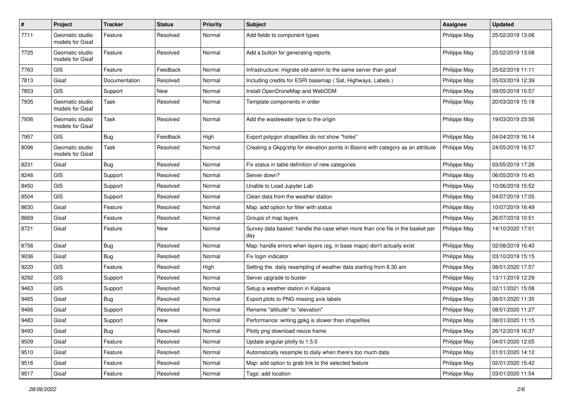| $\pmb{\#}$ | Project                             | <b>Tracker</b> | <b>Status</b> | <b>Priority</b> | Subject                                                                              | <b>Assignee</b> | <b>Updated</b>   |
|------------|-------------------------------------|----------------|---------------|-----------------|--------------------------------------------------------------------------------------|-----------------|------------------|
| 7711       | Geomatic studio<br>models for Gisaf | Feature        | Resolved      | Normal          | Add fields to component types                                                        | Philippe May    | 25/02/2019 13:06 |
| 7725       | Geomatic studio<br>models for Gisaf | Feature        | Resolved      | Normal          | Add a button for generating reports                                                  | Philippe May    | 25/02/2019 13:08 |
| 7763       | <b>GIS</b>                          | Feature        | Feedback      | Normal          | Infrastructure: migrate old-admin to the same server than gisaf                      | Philippe May    | 25/02/2019 11:11 |
| 7813       | Gisaf                               | Documentation  | Resolved      | Normal          | Including credits for ESRI basemap (Sat, Highways, Labels)                           | Philippe May    | 05/03/2019 12:39 |
| 7853       | <b>GIS</b>                          | Support        | New           | Normal          | Install OpenDroneMap and WebODM                                                      | Philippe May    | 09/05/2019 15:57 |
| 7935       | Geomatic studio<br>models for Gisaf | Task           | Resolved      | Normal          | Template components in order                                                         | Philippe May    | 20/03/2019 15:18 |
| 7936       | Geomatic studio<br>models for Gisaf | Task           | Resolved      | Normal          | Add the wastewater type to the origin                                                | Philippe May    | 19/03/2019 23:56 |
| 7957       | <b>GIS</b>                          | Bug            | Feedback      | High            | Export polygon shapefiles do not show "holes"                                        | Philippe May    | 04/04/2019 16:14 |
| 8096       | Geomatic studio<br>models for Gisaf | Task           | Resolved      | Normal          | Creating a Gkpg/shp for elevation points in Basins with category as an attribute     | Philippe May    | 24/05/2019 16:57 |
| 8231       | Gisaf                               | Bug            | Resolved      | Normal          | Fix status in table definition of new categories                                     | Philippe May    | 03/05/2019 17:26 |
| 8246       | <b>GIS</b>                          | Support        | Resolved      | Normal          | Server down?                                                                         | Philippe May    | 06/05/2019 15:45 |
| 8450       | <b>GIS</b>                          | Support        | Resolved      | Normal          | Unable to Load Jupyter Lab                                                           | Philippe May    | 10/06/2019 15:52 |
| 8504       | <b>GIS</b>                          | Support        | Resolved      | Normal          | Clean data from the weather station                                                  | Philippe May    | 04/07/2019 17:05 |
| 8630       | Gisaf                               | Feature        | Resolved      | Normal          | Map: add option for filter with status                                               | Philippe May    | 10/07/2019 16:49 |
| 8669       | Gisaf                               | Feature        | Resolved      | Normal          | Groups of map layers                                                                 | Philippe May    | 26/07/2019 10:51 |
| 8721       | Gisaf                               | Feature        | New           | Normal          | Survey data basket: handle the case when more than one file in the basket per<br>day | Philippe May    | 14/10/2020 17:01 |
| 8756       | Gisaf                               | <b>Bug</b>     | Resolved      | Normal          | Map: handle errors when layers (eg, in base maps) don't actually exist               | Philippe May    | 02/08/2019 16:40 |
| 9036       | Gisaf                               | <b>Bug</b>     | Resolved      | Normal          | Fix login indicator                                                                  | Philippe May    | 03/10/2019 15:15 |
| 9220       | <b>GIS</b>                          | Feature        | Resolved      | High            | Setting the daily resampling of weather data starting from 8.30 am                   | Philippe May    | 08/01/2020 17:57 |
| 9292       | <b>GIS</b>                          | Support        | Resolved      | Normal          | Server upgrade to buster                                                             | Philippe May    | 13/11/2019 12:29 |
| 9463       | <b>GIS</b>                          | Support        | Resolved      | Normal          | Setup a weather station in Kalpana                                                   | Philippe May    | 02/11/2021 15:08 |
| 9465       | Gisaf                               | <b>Bug</b>     | Resolved      | Normal          | Export plots to PNG missing axis labels                                              | Philippe May    | 08/01/2020 11:35 |
| 9466       | Gisaf                               | Support        | Resolved      | Normal          | Rename "altitude" to "elevation"                                                     | Philippe May    | 08/01/2020 11:27 |
| 9483       | Gisaf                               | Support        | New           | Normal          | Performance: writing gpkg is slower than shapefiles                                  | Philippe May    | 08/01/2020 11:15 |
| 9493       | Gisaf                               | Bug            | Resolved      | Normal          | Plotly png download resize frame                                                     | Philippe May    | 26/12/2019 16:37 |
| 9509       | Gisaf                               | Feature        | Resolved      | Normal          | Update angular-plotly to 1.5.0                                                       | Philippe May    | 04/01/2020 12:05 |
| 9510       | Gisaf                               | Feature        | Resolved      | Normal          | Automatically resample to daily when there's too much data                           | Philippe May    | 01/01/2020 14:12 |
| 9516       | Gisaf                               | Feature        | Resolved      | Normal          | Map: add option to grab link to the selected feature                                 | Philippe May    | 02/01/2020 15:42 |
| 9517       | Gisaf                               | Feature        | Resolved      | Normal          | Tags: add location                                                                   | Philippe May    | 03/01/2020 11:54 |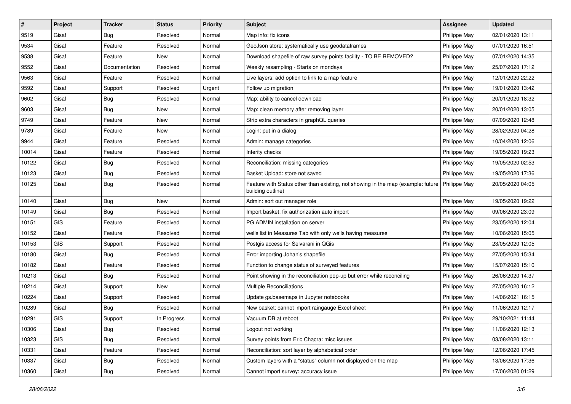| $\sharp$ | Project | <b>Tracker</b> | <b>Status</b> | <b>Priority</b> | <b>Subject</b>                                                                                        | <b>Assignee</b> | <b>Updated</b>   |
|----------|---------|----------------|---------------|-----------------|-------------------------------------------------------------------------------------------------------|-----------------|------------------|
| 9519     | Gisaf   | <b>Bug</b>     | Resolved      | Normal          | Map info: fix icons                                                                                   | Philippe May    | 02/01/2020 13:11 |
| 9534     | Gisaf   | Feature        | Resolved      | Normal          | GeoJson store: systematically use geodataframes                                                       | Philippe May    | 07/01/2020 16:51 |
| 9538     | Gisaf   | Feature        | New           | Normal          | Download shapefile of raw survey points facility - TO BE REMOVED?                                     | Philippe May    | 07/01/2020 14:35 |
| 9552     | Gisaf   | Documentation  | Resolved      | Normal          | Weekly resampling - Starts on mondays                                                                 | Philippe May    | 25/07/2020 17:12 |
| 9563     | Gisaf   | Feature        | Resolved      | Normal          | Live layers: add option to link to a map feature                                                      | Philippe May    | 12/01/2020 22:22 |
| 9592     | Gisaf   | Support        | Resolved      | Urgent          | Follow up migration                                                                                   | Philippe May    | 19/01/2020 13:42 |
| 9602     | Gisaf   | <b>Bug</b>     | Resolved      | Normal          | Map: ability to cancel download                                                                       | Philippe May    | 20/01/2020 18:32 |
| 9603     | Gisaf   | Bug            | New           | Normal          | Map: clean memory after removing layer                                                                | Philippe May    | 20/01/2020 13:05 |
| 9749     | Gisaf   | Feature        | New           | Normal          | Strip extra characters in graphQL queries                                                             | Philippe May    | 07/09/2020 12:48 |
| 9789     | Gisaf   | Feature        | <b>New</b>    | Normal          | Login: put in a dialog                                                                                | Philippe May    | 28/02/2020 04:28 |
| 9944     | Gisaf   | Feature        | Resolved      | Normal          | Admin: manage categories                                                                              | Philippe May    | 10/04/2020 12:06 |
| 10014    | Gisaf   | Feature        | Resolved      | Normal          | Interity checks                                                                                       | Philippe May    | 19/05/2020 19:23 |
| 10122    | Gisaf   | Bug            | Resolved      | Normal          | Reconciliation: missing categories                                                                    | Philippe May    | 19/05/2020 02:53 |
| 10123    | Gisaf   | Bug            | Resolved      | Normal          | Basket Upload: store not saved                                                                        | Philippe May    | 19/05/2020 17:36 |
| 10125    | Gisaf   | <b>Bug</b>     | Resolved      | Normal          | Feature with Status other than existing, not showing in the map (example: future<br>building outline) | Philippe May    | 20/05/2020 04:05 |
| 10140    | Gisaf   | Bug            | <b>New</b>    | Normal          | Admin: sort out manager role                                                                          | Philippe May    | 19/05/2020 19:22 |
| 10149    | Gisaf   | Bug            | Resolved      | Normal          | Import basket: fix authorization auto import                                                          | Philippe May    | 09/06/2020 23:09 |
| 10151    | GIS     | Feature        | Resolved      | Normal          | PG ADMIN installation on server                                                                       | Philippe May    | 23/05/2020 12:04 |
| 10152    | Gisaf   | Feature        | Resolved      | Normal          | wells list in Measures Tab with only wells having measures                                            | Philippe May    | 10/06/2020 15:05 |
| 10153    | GIS     | Support        | Resolved      | Normal          | Postgis access for Selvarani in QGis                                                                  | Philippe May    | 23/05/2020 12:05 |
| 10180    | Gisaf   | <b>Bug</b>     | Resolved      | Normal          | Error importing Johan's shapefile                                                                     | Philippe May    | 27/05/2020 15:34 |
| 10182    | Gisaf   | Feature        | Resolved      | Normal          | Function to change status of surveyed features                                                        | Philippe May    | 15/07/2020 15:10 |
| 10213    | Gisaf   | Bug            | Resolved      | Normal          | Point showing in the reconciliation pop-up but error while reconciling                                | Philippe May    | 26/06/2020 14:37 |
| 10214    | Gisaf   | Support        | New           | Normal          | Multiple Reconciliations                                                                              | Philippe May    | 27/05/2020 16:12 |
| 10224    | Gisaf   | Support        | Resolved      | Normal          | Update gs.basemaps in Jupyter notebooks                                                               | Philippe May    | 14/06/2021 16:15 |
| 10289    | Gisaf   | Bug            | Resolved      | Normal          | New basket: cannot import raingauge Excel sheet                                                       | Philippe May    | 11/06/2020 12:17 |
| 10291    | GIS     | Support        | In Progress   | Normal          | Vacuum DB at reboot                                                                                   | Philippe May    | 29/10/2021 11:44 |
| 10306    | Gisaf   | Bug            | Resolved      | Normal          | Logout not working                                                                                    | Philippe May    | 11/06/2020 12:13 |
| 10323    | GIS     | Bug            | Resolved      | Normal          | Survey points from Eric Chacra: misc issues                                                           | Philippe May    | 03/08/2020 13:11 |
| 10331    | Gisaf   | Feature        | Resolved      | Normal          | Reconciliation: sort layer by alphabetical order                                                      | Philippe May    | 12/06/2020 17:45 |
| 10337    | Gisaf   | <b>Bug</b>     | Resolved      | Normal          | Custom layers with a "status" column not displayed on the map                                         | Philippe May    | 13/06/2020 17:36 |
| 10360    | Gisaf   | <b>Bug</b>     | Resolved      | Normal          | Cannot import survey: accuracy issue                                                                  | Philippe May    | 17/06/2020 01:29 |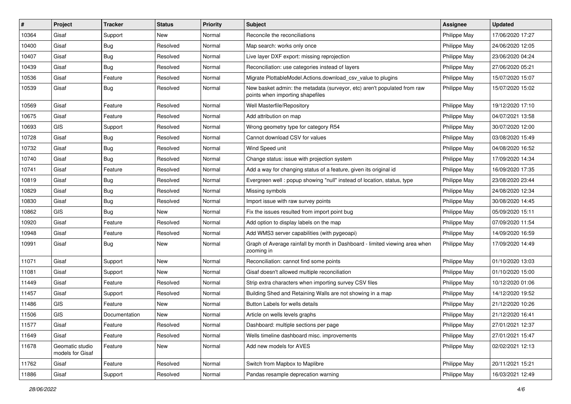| #     | Project                             | <b>Tracker</b> | <b>Status</b> | <b>Priority</b> | <b>Subject</b>                                                                                               | <b>Assignee</b> | <b>Updated</b>   |
|-------|-------------------------------------|----------------|---------------|-----------------|--------------------------------------------------------------------------------------------------------------|-----------------|------------------|
| 10364 | Gisaf                               | Support        | New           | Normal          | Reconcile the reconciliations                                                                                | Philippe May    | 17/06/2020 17:27 |
| 10400 | Gisaf                               | Bug            | Resolved      | Normal          | Map search: works only once                                                                                  | Philippe May    | 24/06/2020 12:05 |
| 10407 | Gisaf                               | Bug            | Resolved      | Normal          | Live layer DXF export: missing reprojection                                                                  | Philippe May    | 23/06/2020 04:24 |
| 10439 | Gisaf                               | <b>Bug</b>     | Resolved      | Normal          | Reconciliation: use categories instead of layers                                                             | Philippe May    | 27/06/2020 05:21 |
| 10536 | Gisaf                               | Feature        | Resolved      | Normal          | Migrate PlottableModel.Actions.download_csv_value to plugins                                                 | Philippe May    | 15/07/2020 15:07 |
| 10539 | Gisaf                               | Bug            | Resolved      | Normal          | New basket admin: the metadata (surveyor, etc) aren't populated from raw<br>points when importing shapefiles | Philippe May    | 15/07/2020 15:02 |
| 10569 | Gisaf                               | Feature        | Resolved      | Normal          | Well Masterfile/Repository                                                                                   | Philippe May    | 19/12/2020 17:10 |
| 10675 | Gisaf                               | Feature        | Resolved      | Normal          | Add attribution on map                                                                                       | Philippe May    | 04/07/2021 13:58 |
| 10693 | <b>GIS</b>                          | Support        | Resolved      | Normal          | Wrong geometry type for category R54                                                                         | Philippe May    | 30/07/2020 12:00 |
| 10728 | Gisaf                               | Bug            | Resolved      | Normal          | Cannot download CSV for values                                                                               | Philippe May    | 03/08/2020 15:49 |
| 10732 | Gisaf                               | <b>Bug</b>     | Resolved      | Normal          | Wind Speed unit                                                                                              | Philippe May    | 04/08/2020 16:52 |
| 10740 | Gisaf                               | Bug            | Resolved      | Normal          | Change status: issue with projection system                                                                  | Philippe May    | 17/09/2020 14:34 |
| 10741 | Gisaf                               | Feature        | Resolved      | Normal          | Add a way for changing status of a feature, given its original id                                            | Philippe May    | 16/09/2020 17:35 |
| 10819 | Gisaf                               | <b>Bug</b>     | Resolved      | Normal          | Evergreen well: popup showing "null" instead of location, status, type                                       | Philippe May    | 23/08/2020 23:44 |
| 10829 | Gisaf                               | Bug            | Resolved      | Normal          | Missing symbols                                                                                              | Philippe May    | 24/08/2020 12:34 |
| 10830 | Gisaf                               | <b>Bug</b>     | Resolved      | Normal          | Import issue with raw survey points                                                                          | Philippe May    | 30/08/2020 14:45 |
| 10862 | <b>GIS</b>                          | <b>Bug</b>     | New           | Normal          | Fix the issues resulted from import point bug                                                                | Philippe May    | 05/09/2020 15:11 |
| 10920 | Gisaf                               | Feature        | Resolved      | Normal          | Add option to display labels on the map                                                                      | Philippe May    | 07/09/2020 11:54 |
| 10948 | Gisaf                               | Feature        | Resolved      | Normal          | Add WMS3 server capabilities (with pygeoapi)                                                                 | Philippe May    | 14/09/2020 16:59 |
| 10991 | Gisaf                               | <b>Bug</b>     | New           | Normal          | Graph of Average rainfall by month in Dashboard - limited viewing area when<br>zooming in                    | Philippe May    | 17/09/2020 14:49 |
| 11071 | Gisaf                               | Support        | <b>New</b>    | Normal          | Reconciliation: cannot find some points                                                                      | Philippe May    | 01/10/2020 13:03 |
| 11081 | Gisaf                               | Support        | New           | Normal          | Gisaf doesn't allowed multiple reconciliation                                                                | Philippe May    | 01/10/2020 15:00 |
| 11449 | Gisaf                               | Feature        | Resolved      | Normal          | Strip extra characters when importing survey CSV files                                                       | Philippe May    | 10/12/2020 01:06 |
| 11457 | Gisaf                               | Support        | Resolved      | Normal          | Building Shed and Retaining Walls are not showing in a map                                                   | Philippe May    | 14/12/2020 19:52 |
| 11486 | <b>GIS</b>                          | Feature        | New           | Normal          | Button Labels for wells details                                                                              | Philippe May    | 21/12/2020 10:26 |
| 11506 | GIS                                 | Documentation  | New           | Normal          | Article on wells levels graphs                                                                               | Philippe May    | 21/12/2020 16:41 |
| 11577 | Gisaf                               | Feature        | Resolved      | Normal          | Dashboard: multiple sections per page                                                                        | Philippe May    | 27/01/2021 12:37 |
| 11649 | Gisaf                               | Feature        | Resolved      | Normal          | Wells timeline dashboard misc. improvements                                                                  | Philippe May    | 27/01/2021 15:47 |
| 11678 | Geomatic studio<br>models for Gisaf | Feature        | New           | Normal          | Add new models for AVES                                                                                      | Philippe May    | 02/02/2021 12:13 |
| 11762 | Gisaf                               | Feature        | Resolved      | Normal          | Switch from Mapbox to Maplibre                                                                               | Philippe May    | 20/11/2021 15:21 |
| 11886 | Gisaf                               | Support        | Resolved      | Normal          | Pandas resample deprecation warning                                                                          | Philippe May    | 16/03/2021 12:49 |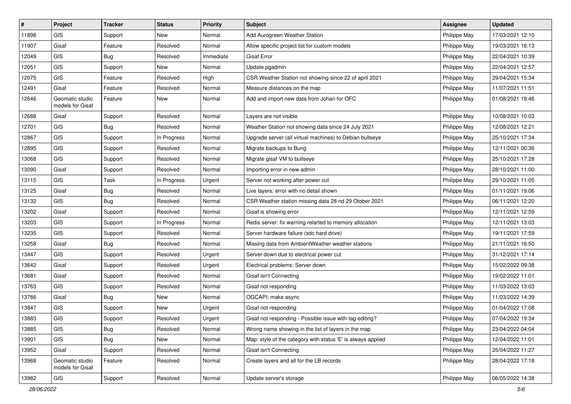| $\sharp$ | Project                             | <b>Tracker</b> | <b>Status</b> | <b>Priority</b> | Subject                                                      | <b>Assignee</b> | <b>Updated</b>   |
|----------|-------------------------------------|----------------|---------------|-----------------|--------------------------------------------------------------|-----------------|------------------|
| 11898    | GIS                                 | Support        | New           | Normal          | Add Aurogreen Weather Station                                | Philippe May    | 17/03/2021 12:10 |
| 11907    | Gisaf                               | Feature        | Resolved      | Normal          | Allow specific project list for custom models                | Philippe May    | 19/03/2021 16:13 |
| 12049    | <b>GIS</b>                          | Bug            | Resolved      | Immediate       | Gisaf Error                                                  | Philippe May    | 22/04/2021 10:39 |
| 12051    | GIS                                 | Support        | New           | Normal          | Update pgadmin                                               | Philippe May    | 22/04/2021 12:57 |
| 12075    | GIS                                 | Feature        | Resolved      | High            | CSR Weather Station not showing since 22 of april 2021       | Philippe May    | 29/04/2021 15:34 |
| 12491    | Gisaf                               | Feature        | Resolved      | Normal          | Measure distances on the map                                 | Philippe May    | 11/07/2021 11:51 |
| 12646    | Geomatic studio<br>models for Gisaf | Feature        | New           | Normal          | Add and import new data from Johan for OFC                   | Philippe May    | 01/08/2021 19:46 |
| 12688    | Gisaf                               | Support        | Resolved      | Normal          | Layers are not visible                                       | Philippe May    | 10/08/2021 10:03 |
| 12701    | GIS                                 | Bug            | Resolved      | Normal          | Weather Station not showing data since 24 July 2021          | Philippe May    | 12/08/2021 12:21 |
| 12867    | GIS                                 | Support        | In Progress   | Normal          | Upgrade server (all virtual machines) to Debian bullseye     | Philippe May    | 25/10/2021 17:34 |
| 12895    | GIS                                 | Support        | Resolved      | Normal          | Migrate backups to Bung                                      | Philippe May    | 12/11/2021 00:36 |
| 13068    | GIS                                 | Support        | Resolved      | Normal          | Migrate gisaf VM to bullseye                                 | Philippe May    | 25/10/2021 17:28 |
| 13090    | Gisaf                               | Support        | Resolved      | Normal          | Importing error in new admin                                 | Philippe May    | 28/10/2021 11:00 |
| 13115    | <b>GIS</b>                          | Task           | In Progress   | Urgent          | Server not working after power cut                           | Philippe May    | 29/10/2021 11:05 |
| 13125    | Gisaf                               | <b>Bug</b>     | Resolved      | Normal          | Live layers: error with no detail shown                      | Philippe May    | 01/11/2021 19:06 |
| 13132    | GIS                                 | Bug            | Resolved      | Normal          | CSR Weather station missing data 28 nd 29 Otober 2021        | Philippe May    | 06/11/2021 12:20 |
| 13202    | Gisaf                               | Support        | Resolved      | Normal          | Gisaf is showing error                                       | Philippe May    | 12/11/2021 12:59 |
| 13203    | GIS                                 | Support        | In Progress   | Normal          | Redis server: fix warning relarted to memory allocation      | Philippe May    | 12/11/2021 13:03 |
| 13235    | <b>GIS</b>                          | Support        | Resolved      | Normal          | Server hardware failure (sdc hard drive)                     | Philippe May    | 19/11/2021 17:59 |
| 13258    | Gisaf                               | Bug            | Resolved      | Normal          | Missing data from AmbientWeather weather stations            | Philippe May    | 21/11/2021 16:50 |
| 13447    | GIS                                 | Support        | Resolved      | Urgent          | Server down due to electrical power cut                      | Philippe May    | 31/12/2021 17:14 |
| 13642    | Gisaf                               | Support        | Resolved      | Urgent          | Electrical problems: Server down                             | Philippe May    | 15/02/2022 09:38 |
| 13681    | Gisaf                               | Support        | Resolved      | Normal          | Gisaf isn't Connecting                                       | Philippe May    | 19/02/2022 11:01 |
| 13763    | GIS                                 | Support        | Resolved      | Normal          | Gisaf not responding                                         | Philippe May    | 11/03/2022 13:03 |
| 13766    | Gisaf                               | Bug            | New           | Normal          | OGCAPI: make async                                           | Philippe May    | 11/03/2022 14:39 |
| 13847    | GIS                                 | Support        | New           | Urgent          | Gisaf not responding                                         | Philippe May    | 01/04/2022 17:08 |
| 13883    | GIS                                 | Support        | Resolved      | Urgent          | Gisaf not responding - Possible issue with tag editing?      | Philippe May    | 07/04/2022 19:34 |
| 13885    | GIS                                 | Bug            | Resolved      | Normal          | Wrong name showing in the list of layers in the map          | Philippe May    | 23/04/2022 04:04 |
| 13901    | GIS                                 | Bug            | New           | Normal          | Map: style of the category with status 'E' is always applied | Philippe May    | 12/04/2022 11:01 |
| 13952    | Gisaf                               | Support        | Resolved      | Normal          | Gisaf isn't Connecting                                       | Philippe May    | 25/04/2022 11:27 |
| 13968    | Geomatic studio<br>models for Gisaf | Feature        | Resolved      | Normal          | Create layers and all for the LB records                     | Philippe May    | 28/04/2022 17:18 |
| 13982    | GIS                                 | Support        | Resolved      | Normal          | Update server's storage                                      | Philippe May    | 06/05/2022 14:38 |